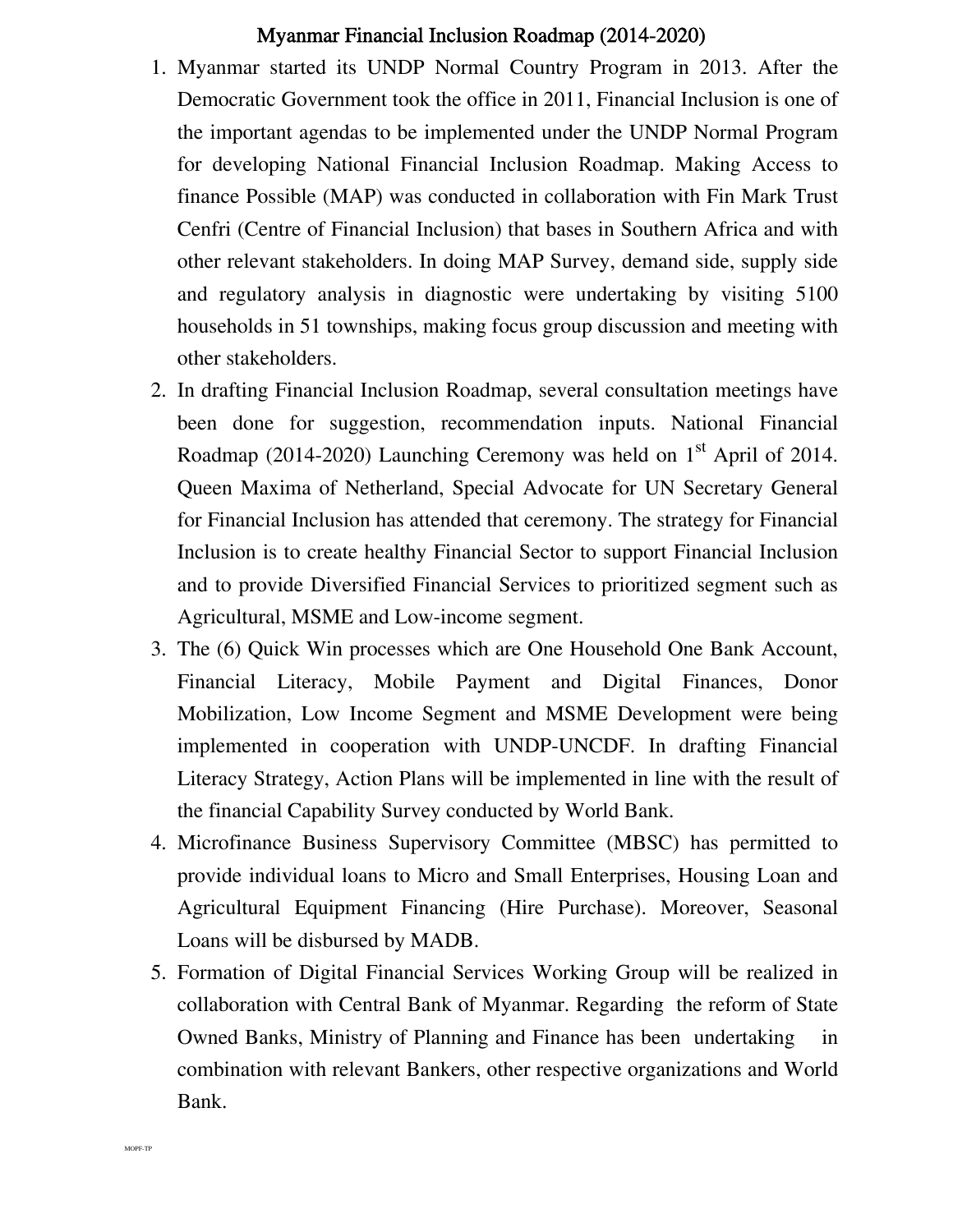## Myanmar Financial Inclusion Roadmap (2014-2020)

- 1. Myanmar started its UNDP Normal Country Program in 2013. After the Democratic Government took the office in 2011, Financial Inclusion is one of the important agendas to be implemented under the UNDP Normal Program for developing National Financial Inclusion Roadmap. Making Access to finance Possible (MAP) was conducted in collaboration with Fin Mark Trust Cenfri (Centre of Financial Inclusion) that bases in Southern Africa and with other relevant stakeholders. In doing MAP Survey, demand side, supply side and regulatory analysis in diagnostic were undertaking by visiting 5100 households in 51 townships, making focus group discussion and meeting with other stakeholders.
- 2. In drafting Financial Inclusion Roadmap, several consultation meetings have been done for suggestion, recommendation inputs. National Financial Roadmap (2014-2020) Launching Ceremony was held on  $1<sup>st</sup>$  April of 2014. Queen Maxima of Netherland, Special Advocate for UN Secretary General for Financial Inclusion has attended that ceremony. The strategy for Financial Inclusion is to create healthy Financial Sector to support Financial Inclusion and to provide Diversified Financial Services to prioritized segment such as Agricultural, MSME and Low-income segment.
- 3. The (6) Quick Win processes which are One Household One Bank Account, Financial Literacy, Mobile Payment and Digital Finances, Donor Mobilization, Low Income Segment and MSME Development were being implemented in cooperation with UNDP-UNCDF. In drafting Financial Literacy Strategy, Action Plans will be implemented in line with the result of the financial Capability Survey conducted by World Bank.
- 4. Microfinance Business Supervisory Committee (MBSC) has permitted to provide individual loans to Micro and Small Enterprises, Housing Loan and Agricultural Equipment Financing (Hire Purchase). Moreover, Seasonal Loans will be disbursed by MADB.
- 5. Formation of Digital Financial Services Working Group will be realized in collaboration with Central Bank of Myanmar. Regarding the reform of State Owned Banks, Ministry of Planning and Finance has been undertaking in combination with relevant Bankers, other respective organizations and World Bank.